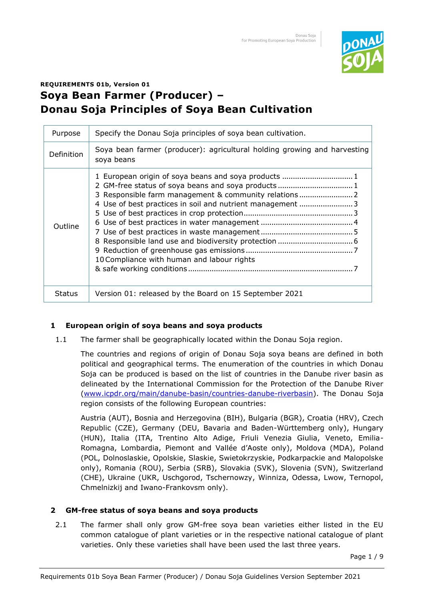

# **REQUIREMENTS 01b, Version 01 Soya Bean Farmer (Producer) – Donau Soja Principles of Soya Bean Cultivation**

| Purpose       | Specify the Donau Soja principles of soya bean cultivation.                                                                                                                                                                |
|---------------|----------------------------------------------------------------------------------------------------------------------------------------------------------------------------------------------------------------------------|
| Definition    | Soya bean farmer (producer): agricultural holding growing and harvesting<br>soya beans                                                                                                                                     |
| Outline       | 1 European origin of soya beans and soya products  1<br>3 Responsible farm management & community relations  2<br>4 Use of best practices in soil and nutrient management  3<br>10 Compliance with human and labour rights |
| <b>Status</b> | Version 01: released by the Board on 15 September 2021                                                                                                                                                                     |

# **1 European origin of soya beans and soya products**

1.1 The farmer shall be geographically located within the Donau Soja region.

The countries and regions of origin of Donau Soja soya beans are defined in both political and geographical terms. The enumeration of the countries in which Donau Soja can be produced is based on the list of countries in the Danube river basin as delineated by the International Commission for the Protection of the Danube River [\(www.icpdr.org/main/danube-basin/countries-danube-riverbasin\)](http://www.icpdr.org/main/danube-basin/countries-danube-riverbasin). The Donau Soja region consists of the following European countries:

Austria (AUT), Bosnia and Herzegovina (BIH), Bulgaria (BGR), Croatia (HRV), Czech Republic (CZE), Germany (DEU, Bavaria and Baden-Württemberg only), Hungary (HUN), Italia (ITA, Trentino Alto Adige, Friuli Venezia Giulia, Veneto, Emilia-Romagna, Lombardia, Piemont and Vallée d'Aoste only), Moldova (MDA), Poland (POL, Dolnoslaskie, Opolskie, Slaskie, Swietokrzyskie, Podkarpackie and Malopolske only), Romania (ROU), Serbia (SRB), Slovakia (SVK), Slovenia (SVN), Switzerland (CHE), Ukraine (UKR, Uschgorod, Tschernowzy, Winniza, Odessa, Lwow, Ternopol, Chmelnizkij and Iwano-Frankovsm only).

# **2 GM-free status of soya beans and soya products**

2.1 The farmer shall only grow GM-free soya bean varieties either listed in the EU common catalogue of plant varieties or in the respective national catalogue of plant varieties. Only these varieties shall have been used the last three years.

Page 1 / 9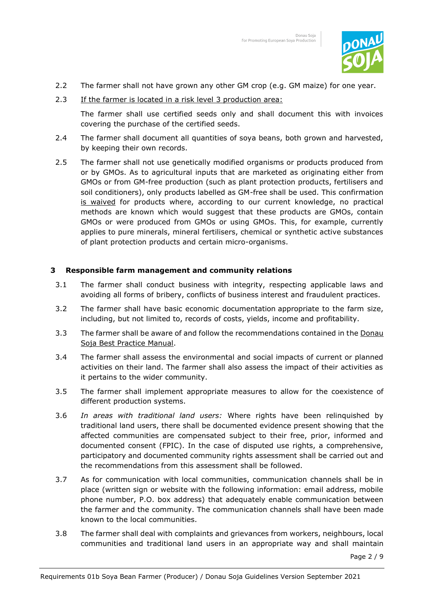

- 2.2 The farmer shall not have grown any other GM crop (e.g. GM maize) for one year.
- 2.3 If the farmer is located in a risk level 3 production area:

The farmer shall use certified seeds only and shall document this with invoices covering the purchase of the certified seeds.

- 2.4 The farmer shall document all quantities of soya beans, both grown and harvested, by keeping their own records.
- 2.5 The farmer shall not use genetically modified organisms or products produced from or by GMOs. As to agricultural inputs that are marketed as originating either from GMOs or from GM-free production (such as plant protection products, fertilisers and soil conditioners), only products labelled as GM-free shall be used. This confirmation is waived for products where, according to our current knowledge, no practical methods are known which would suggest that these products are GMOs, contain GMOs or were produced from GMOs or using GMOs. This, for example, currently applies to pure minerals, mineral fertilisers, chemical or synthetic active substances of plant protection products and certain micro-organisms.

#### **3 Responsible farm management and community relations**

- 3.1 The farmer shall conduct business with integrity, respecting applicable laws and avoiding all forms of bribery, conflicts of business interest and fraudulent practices.
- 3.2 The farmer shall have basic economic documentation appropriate to the farm size, including, but not limited to, records of costs, yields, income and profitability.
- 3.3 The farmer shall be aware of and follow the recommendations contained in the Donau Soja Best Practice Manual.
- 3.4 The farmer shall assess the environmental and social impacts of current or planned activities on their land. The farmer shall also assess the impact of their activities as it pertains to the wider community.
- 3.5 The farmer shall implement appropriate measures to allow for the coexistence of different production systems.
- 3.6 *In areas with traditional land users:* Where rights have been relinquished by traditional land users, there shall be documented evidence present showing that the affected communities are compensated subject to their free, prior, informed and documented consent (FPIC). In the case of disputed use rights, a comprehensive, participatory and documented community rights assessment shall be carried out and the recommendations from this assessment shall be followed.
- 3.7 As for communication with local communities, communication channels shall be in place (written sign or website with the following information: email address, mobile phone number, P.O. box address) that adequately enable communication between the farmer and the community. The communication channels shall have been made known to the local communities.
- 3.8 The farmer shall deal with complaints and grievances from workers, neighbours, local communities and traditional land users in an appropriate way and shall maintain

Page 2 / 9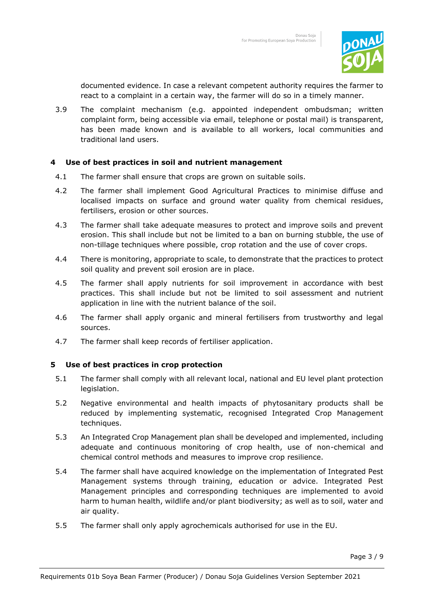

documented evidence. In case a relevant competent authority requires the farmer to react to a complaint in a certain way, the farmer will do so in a timely manner.

3.9 The complaint mechanism (e.g. appointed independent ombudsman; written complaint form, being accessible via email, telephone or postal mail) is transparent, has been made known and is available to all workers, local communities and traditional land users.

#### **4 Use of best practices in soil and nutrient management**

- 4.1 The farmer shall ensure that crops are grown on suitable soils.
- 4.2 The farmer shall implement Good Agricultural Practices to minimise diffuse and localised impacts on surface and ground water quality from chemical residues, fertilisers, erosion or other sources.
- 4.3 The farmer shall take adequate measures to protect and improve soils and prevent erosion. This shall include but not be limited to a ban on burning stubble, the use of non-tillage techniques where possible, crop rotation and the use of cover crops.
- 4.4 There is monitoring, appropriate to scale, to demonstrate that the practices to protect soil quality and prevent soil erosion are in place.
- 4.5 The farmer shall apply nutrients for soil improvement in accordance with best practices. This shall include but not be limited to soil assessment and nutrient application in line with the nutrient balance of the soil.
- 4.6 The farmer shall apply organic and mineral fertilisers from trustworthy and legal sources.
- 4.7 The farmer shall keep records of fertiliser application.

## **5 Use of best practices in crop protection**

- 5.1 The farmer shall comply with all relevant local, national and EU level plant protection legislation.
- 5.2 Negative environmental and health impacts of phytosanitary products shall be reduced by implementing systematic, recognised Integrated Crop Management techniques.
- 5.3 An Integrated Crop Management plan shall be developed and implemented, including adequate and continuous monitoring of crop health, use of non-chemical and chemical control methods and measures to improve crop resilience.
- 5.4 The farmer shall have acquired knowledge on the implementation of Integrated Pest Management systems through training, education or advice. Integrated Pest Management principles and corresponding techniques are implemented to avoid harm to human health, wildlife and/or plant biodiversity; as well as to soil, water and air quality.
- 5.5 The farmer shall only apply agrochemicals authorised for use in the EU.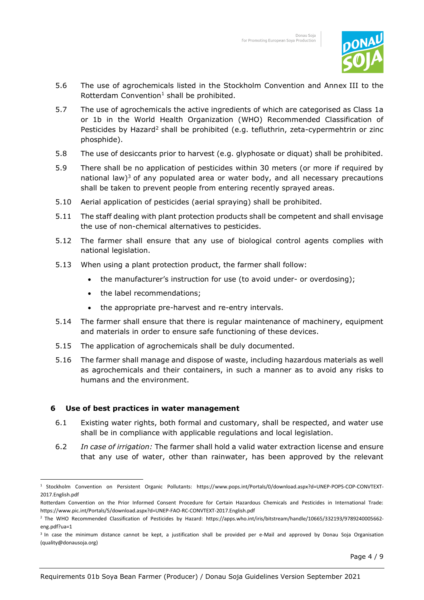

- 5.6 The use of agrochemicals listed in the Stockholm Convention and Annex III to the Rotterdam Convention<sup>1</sup> shall be prohibited.
- 5.7 The use of agrochemicals the active ingredients of which are categorised as Class 1a or 1b in the World Health Organization (WHO) Recommended Classification of Pesticides by Hazard<sup>2</sup> shall be prohibited (e.g. tefluthrin, zeta-cypermehtrin or zinc phosphide).
- 5.8 The use of desiccants prior to harvest (e.g. glyphosate or diquat) shall be prohibited.
- 5.9 There shall be no application of pesticides within 30 meters (or more if required by national law)<sup>3</sup> of any populated area or water body, and all necessary precautions shall be taken to prevent people from entering recently sprayed areas.
- 5.10 Aerial application of pesticides (aerial spraying) shall be prohibited.
- 5.11 The staff dealing with plant protection products shall be competent and shall envisage the use of non-chemical alternatives to pesticides.
- 5.12 The farmer shall ensure that any use of biological control agents complies with national legislation.
- 5.13 When using a plant protection product, the farmer shall follow:
	- the manufacturer's instruction for use (to avoid under- or overdosing);
	- the label recommendations;
	- the appropriate pre-harvest and re-entry intervals.
- 5.14 The farmer shall ensure that there is regular maintenance of machinery, equipment and materials in order to ensure safe functioning of these devices.
- 5.15 The application of agrochemicals shall be duly documented.
- 5.16 The farmer shall manage and dispose of waste, including hazardous materials as well as agrochemicals and their containers, in such a manner as to avoid any risks to humans and the environment.

## **6 Use of best practices in water management**

- 6.1 Existing water rights, both formal and customary, shall be respected, and water use shall be in compliance with applicable regulations and local legislation.
- 6.2 *In case of irrigation:* The farmer shall hold a valid water extraction license and ensure that any use of water, other than rainwater, has been approved by the relevant

<sup>1</sup> Stockholm Convention on Persistent Organic Pollutants: https:/[/www.pops.int/Portals/0/download.aspx?d=UNEP-POPS-COP-CONVTEXT-](http://www.pops.int/Portals/0/download.aspx?d=UNEP-POPS-COP-CONVTEXT-2017.English.pdf)[2017.English.pdf](http://www.pops.int/Portals/0/download.aspx?d=UNEP-POPS-COP-CONVTEXT-2017.English.pdf)

Rotterdam Convention on the Prior Informed Consent Procedure for Certain Hazardous Chemicals and Pesticides in International Trade: https:/[/www.pic.int/Portals/5/download.aspx?d=UNEP-FAO-RC-CONVTEXT-2017.English.pdf](http://www.pic.int/Portals/5/download.aspx?d=UNEP-FAO-RC-CONVTEXT-2017.English.pdf)

<sup>2</sup> The WHO Recommended Classification of Pesticides by Hazard: [https://apps.who.int/iris/bitstream/handle/10665/332193/9789240005662](https://apps.who.int/iris/bitstream/handle/10665/332193/9789240005662-eng.pdf?ua=1) [eng.pdf?ua=1](https://apps.who.int/iris/bitstream/handle/10665/332193/9789240005662-eng.pdf?ua=1)

<sup>&</sup>lt;sup>3</sup> In case the minimum distance cannot be kept, a justification shall be provided per e-Mail and approved by Donau Soja Organisation (quality@donausoja.org)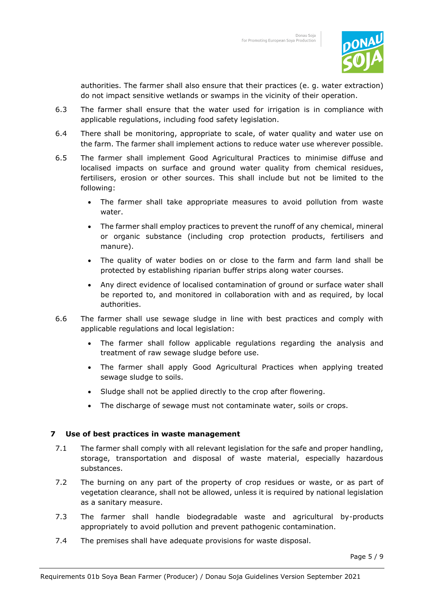

authorities. The farmer shall also ensure that their practices (e. g. water extraction) do not impact sensitive wetlands or swamps in the vicinity of their operation.

- 6.3 The farmer shall ensure that the water used for irrigation is in compliance with applicable regulations, including food safety legislation.
- 6.4 There shall be monitoring, appropriate to scale, of water quality and water use on the farm. The farmer shall implement actions to reduce water use wherever possible.
- 6.5 The farmer shall implement Good Agricultural Practices to minimise diffuse and localised impacts on surface and ground water quality from chemical residues, fertilisers, erosion or other sources. This shall include but not be limited to the following:
	- The farmer shall take appropriate measures to avoid pollution from waste water.
	- The farmer shall employ practices to prevent the runoff of any chemical, mineral or organic substance (including crop protection products, fertilisers and manure).
	- The quality of water bodies on or close to the farm and farm land shall be protected by establishing riparian buffer strips along water courses.
	- Any direct evidence of localised contamination of ground or surface water shall be reported to, and monitored in collaboration with and as required, by local authorities.
- 6.6 The farmer shall use sewage sludge in line with best practices and comply with applicable regulations and local legislation:
	- The farmer shall follow applicable regulations regarding the analysis and treatment of raw sewage sludge before use.
	- The farmer shall apply Good Agricultural Practices when applying treated sewage sludge to soils.
	- Sludge shall not be applied directly to the crop after flowering.
	- The discharge of sewage must not contaminate water, soils or crops.

## **7 Use of best practices in waste management**

- 7.1 The farmer shall comply with all relevant legislation for the safe and proper handling, storage, transportation and disposal of waste material, especially hazardous substances.
- 7.2 The burning on any part of the property of crop residues or waste, or as part of vegetation clearance, shall not be allowed, unless it is required by national legislation as a sanitary measure.
- 7.3 The farmer shall handle biodegradable waste and agricultural by-products appropriately to avoid pollution and prevent pathogenic contamination.
- 7.4 The premises shall have adequate provisions for waste disposal.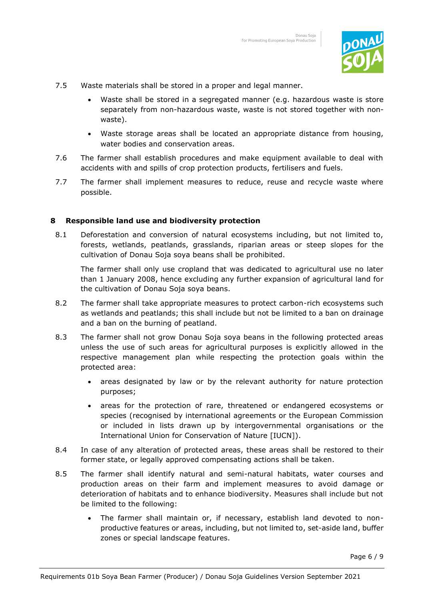

- 7.5 Waste materials shall be stored in a proper and legal manner.
	- Waste shall be stored in a segregated manner (e.g. hazardous waste is store separately from non-hazardous waste, waste is not stored together with nonwaste).
	- Waste storage areas shall be located an appropriate distance from housing, water bodies and conservation areas.
- 7.6 The farmer shall establish procedures and make equipment available to deal with accidents with and spills of crop protection products, fertilisers and fuels.
- 7.7 The farmer shall implement measures to reduce, reuse and recycle waste where possible.

#### **8 Responsible land use and biodiversity protection**

8.1 Deforestation and conversion of natural ecosystems including, but not limited to, forests, wetlands, peatlands, grasslands, riparian areas or steep slopes for the cultivation of Donau Soja soya beans shall be prohibited.

The farmer shall only use cropland that was dedicated to agricultural use no later than 1 January 2008, hence excluding any further expansion of agricultural land for the cultivation of Donau Soja soya beans.

- 8.2 The farmer shall take appropriate measures to protect carbon-rich ecosystems such as wetlands and peatlands; this shall include but not be limited to a ban on drainage and a ban on the burning of peatland.
- 8.3 The farmer shall not grow Donau Soja soya beans in the following protected areas unless the use of such areas for agricultural purposes is explicitly allowed in the respective management plan while respecting the protection goals within the protected area:
	- areas designated by law or by the relevant authority for nature protection purposes;
	- areas for the protection of rare, threatened or endangered ecosystems or species (recognised by international agreements or the European Commission or included in lists drawn up by intergovernmental organisations or the International Union for Conservation of Nature [IUCN]).
- 8.4 In case of any alteration of protected areas, these areas shall be restored to their former state, or legally approved compensating actions shall be taken.
- 8.5 The farmer shall identify natural and semi-natural habitats, water courses and production areas on their farm and implement measures to avoid damage or deterioration of habitats and to enhance biodiversity. Measures shall include but not be limited to the following:
	- The farmer shall maintain or, if necessary, establish land devoted to nonproductive features or areas, including, but not limited to, set-aside land, buffer zones or special landscape features.

Page 6 / 9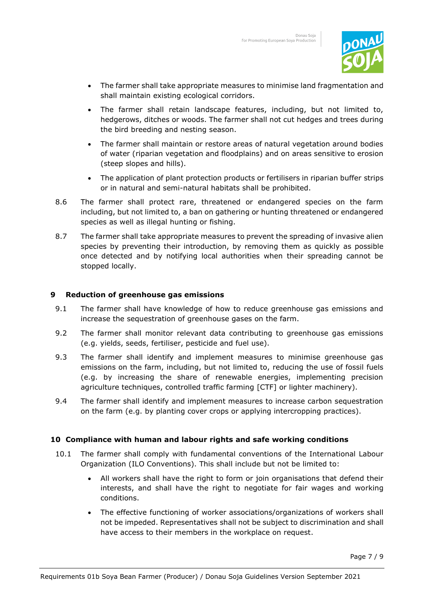

- The farmer shall take appropriate measures to minimise land fragmentation and shall maintain existing ecological corridors.
- The farmer shall retain landscape features, including, but not limited to, hedgerows, ditches or woods. The farmer shall not cut hedges and trees during the bird breeding and nesting season.
- The farmer shall maintain or restore areas of natural vegetation around bodies of water (riparian vegetation and floodplains) and on areas sensitive to erosion (steep slopes and hills).
- The application of plant protection products or fertilisers in riparian buffer strips or in natural and semi-natural habitats shall be prohibited.
- 8.6 The farmer shall protect rare, threatened or endangered species on the farm including, but not limited to, a ban on gathering or hunting threatened or endangered species as well as illegal hunting or fishing.
- 8.7 The farmer shall take appropriate measures to prevent the spreading of invasive alien species by preventing their introduction, by removing them as quickly as possible once detected and by notifying local authorities when their spreading cannot be stopped locally.

## **9 Reduction of greenhouse gas emissions**

- 9.1 The farmer shall have knowledge of how to reduce greenhouse gas emissions and increase the sequestration of greenhouse gases on the farm.
- 9.2 The farmer shall monitor relevant data contributing to greenhouse gas emissions (e.g. yields, seeds, fertiliser, pesticide and fuel use).
- 9.3 The farmer shall identify and implement measures to minimise greenhouse gas emissions on the farm, including, but not limited to, reducing the use of fossil fuels (e.g. by increasing the share of renewable energies, implementing precision agriculture techniques, controlled traffic farming [CTF] or lighter machinery).
- 9.4 The farmer shall identify and implement measures to increase carbon sequestration on the farm (e.g. by planting cover crops or applying intercropping practices).

## **10 Compliance with human and labour rights and safe working conditions**

- 10.1 The farmer shall comply with fundamental conventions of the International Labour Organization (ILO Conventions). This shall include but not be limited to:
	- All workers shall have the right to form or join organisations that defend their interests, and shall have the right to negotiate for fair wages and working conditions.
	- The effective functioning of worker associations/organizations of workers shall not be impeded. Representatives shall not be subject to discrimination and shall have access to their members in the workplace on request.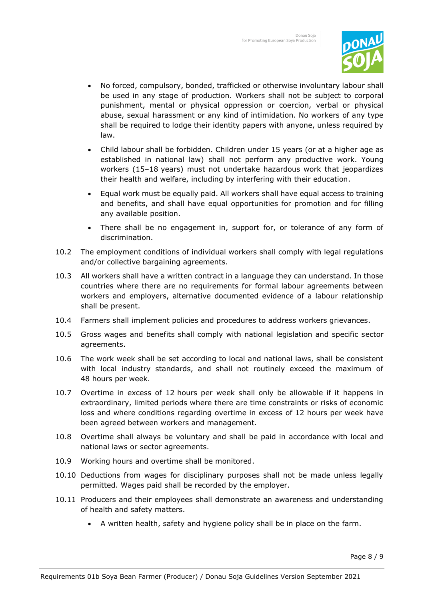

- No forced, compulsory, bonded, trafficked or otherwise involuntary labour shall be used in any stage of production. Workers shall not be subject to corporal punishment, mental or physical oppression or coercion, verbal or physical abuse, sexual harassment or any kind of intimidation. No workers of any type shall be required to lodge their identity papers with anyone, unless required by law.
- Child labour shall be forbidden. Children under 15 years (or at a higher age as established in national law) shall not perform any productive work. Young workers (15–18 years) must not undertake hazardous work that jeopardizes their health and welfare, including by interfering with their education.
- Equal work must be equally paid. All workers shall have equal access to training and benefits, and shall have equal opportunities for promotion and for filling any available position.
- There shall be no engagement in, support for, or tolerance of any form of discrimination.
- 10.2 The employment conditions of individual workers shall comply with legal regulations and/or collective bargaining agreements.
- 10.3 All workers shall have a written contract in a language they can understand. In those countries where there are no requirements for formal labour agreements between workers and employers, alternative documented evidence of a labour relationship shall be present.
- 10.4 Farmers shall implement policies and procedures to address workers grievances.
- 10.5 Gross wages and benefits shall comply with national legislation and specific sector agreements.
- 10.6 The work week shall be set according to local and national laws, shall be consistent with local industry standards, and shall not routinely exceed the maximum of 48 hours per week.
- 10.7 Overtime in excess of 12 hours per week shall only be allowable if it happens in extraordinary, limited periods where there are time constraints or risks of economic loss and where conditions regarding overtime in excess of 12 hours per week have been agreed between workers and management.
- 10.8 Overtime shall always be voluntary and shall be paid in accordance with local and national laws or sector agreements.
- 10.9 Working hours and overtime shall be monitored.
- 10.10 Deductions from wages for disciplinary purposes shall not be made unless legally permitted. Wages paid shall be recorded by the employer.
- 10.11 Producers and their employees shall demonstrate an awareness and understanding of health and safety matters.
	- A written health, safety and hygiene policy shall be in place on the farm.